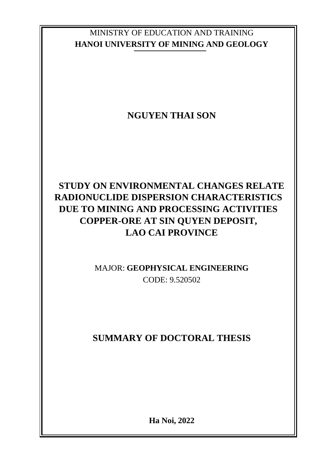## MINISTRY OF EDUCATION AND TRAINING **HANOI UNIVERSITY OF MINING AND GEOLOGY**

# **NGUYEN THAI SON**

# **STUDY ON ENVIRONMENTAL CHANGES RELATE RADIONUCLIDE DISPERSION CHARACTERISTICS DUE TO MINING AND PROCESSING ACTIVITIES COPPER-ORE AT SIN QUYEN DEPOSIT, LAO CAI PROVINCE**

## MAJOR: **GEOPHYSICAL ENGINEERING** CODE: 9.520502

# **SUMMARY OF DOCTORAL THESIS**

**Ha Noi, 2022**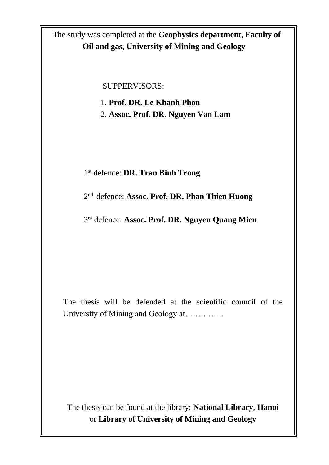The study was completed at the **Geophysics department, Faculty of Oil and gas, University of Mining and Geology**

SUPPERVISORS:

1. **Prof. DR. Le Khanh Phon** 2. **Assoc. Prof. DR. Nguyen Van Lam**

1 st defence: **DR. Tran Binh Trong**

2 nd defence: **Assoc. Prof. DR. Phan Thien Huong**

3 ra defence: **Assoc. Prof. DR. Nguyen Quang Mien**

The thesis will be defended at the scientific council of the University of Mining and Geology at….….….…

The thesis can be found at the library: **National Library, Hanoi** or **Library of University of Mining and Geology**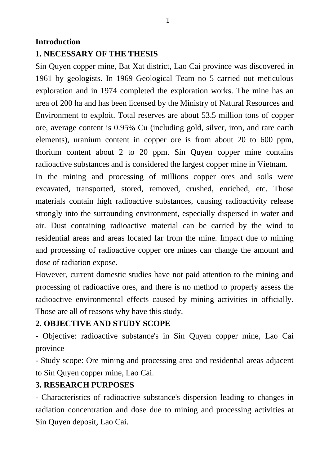#### **Introduction**

#### **1. NECESSARY OF THE THESIS**

Sin Quyen copper mine, Bat Xat district, Lao Cai province was discovered in 1961 by geologists. In 1969 Geological Team no 5 carried out meticulous exploration and in 1974 completed the exploration works. The mine has an area of 200 ha and has been licensed by the Ministry of Natural Resources and Environment to exploit. Total reserves are about 53.5 million tons of copper ore, average content is 0.95% Cu (including gold, silver, iron, and rare earth elements), uranium content in copper ore is from about 20 to 600 ppm, thorium content about 2 to 20 ppm. Sin Quyen copper mine contains radioactive substances and is considered the largest copper mine in Vietnam.

In the mining and processing of millions copper ores and soils were excavated, transported, stored, removed, crushed, enriched, etc. Those materials contain high radioactive substances, causing radioactivity release strongly into the surrounding environment, especially dispersed in water and air. Dust containing radioactive material can be carried by the wind to residential areas and areas located far from the mine. Impact due to mining and processing of radioactive copper ore mines can change the amount and dose of radiation expose.

However, current domestic studies have not paid attention to the mining and processing of radioactive ores, and there is no method to properly assess the radioactive environmental effects caused by mining activities in officially. Those are all of reasons why have this study.

### **2. OBJECTIVE AND STUDY SCOPE**

- Objective: radioactive substance's in Sin Quyen copper mine, Lao Cai province

- Study scope: Ore mining and processing area and residential areas adjacent to Sin Quyen copper mine, Lao Cai.

### **3. RESEARCH PURPOSES**

- Characteristics of radioactive substance's dispersion leading to changes in radiation concentration and dose due to mining and processing activities at Sin Quyen deposit, Lao Cai.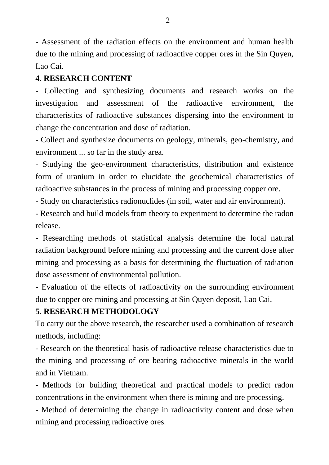- Assessment of the radiation effects on the environment and human health due to the mining and processing of radioactive copper ores in the Sin Quyen, Lao Cai.

### **4. RESEARCH CONTENT**

- Collecting and synthesizing documents and research works on the investigation and assessment of the radioactive environment, the characteristics of radioactive substances dispersing into the environment to change the concentration and dose of radiation.

- Collect and synthesize documents on geology, minerals, geo-chemistry, and environment ... so far in the study area.

- Studying the geo-environment characteristics, distribution and existence form of uranium in order to elucidate the geochemical characteristics of radioactive substances in the process of mining and processing copper ore.

- Study on characteristics radionuclides (in soil, water and air environment).

- Research and build models from theory to experiment to determine the radon release.

- Researching methods of statistical analysis determine the local natural radiation background before mining and processing and the current dose after mining and processing as a basis for determining the fluctuation of radiation dose assessment of environmental pollution.

- Evaluation of the effects of radioactivity on the surrounding environment due to copper ore mining and processing at Sin Quyen deposit, Lao Cai.

### **5. RESEARCH METHODOLOGY**

To carry out the above research, the researcher used a combination of research methods, including:

- Research on the theoretical basis of radioactive release characteristics due to the mining and processing of ore bearing radioactive minerals in the world and in Vietnam.

- Methods for building theoretical and practical models to predict radon concentrations in the environment when there is mining and ore processing.

- Method of determining the change in radioactivity content and dose when mining and processing radioactive ores.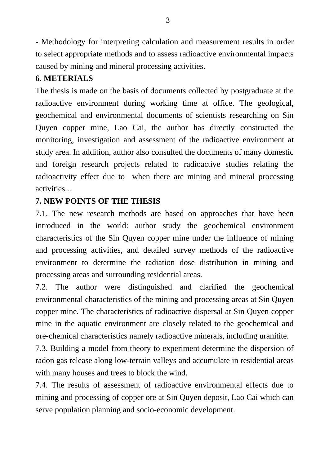- Methodology for interpreting calculation and measurement results in order to select appropriate methods and to assess radioactive environmental impacts caused by mining and mineral processing activities.

## **6. METERIALS**

The thesis is made on the basis of documents collected by postgraduate at the radioactive environment during working time at office. The geological, geochemical and environmental documents of scientists researching on Sin Quyen copper mine, Lao Cai, the author has directly constructed the monitoring, investigation and assessment of the radioactive environment at study area. In addition, author also consulted the documents of many domestic and foreign research projects related to radioactive studies relating the radioactivity effect due to when there are mining and mineral processing activities...

## **7. NEW POINTS OF THE THESIS**

7.1. The new research methods are based on approaches that have been introduced in the world: author study the geochemical environment characteristics of the Sin Quyen copper mine under the influence of mining and processing activities, and detailed survey methods of the radioactive environment to determine the radiation dose distribution in mining and processing areas and surrounding residential areas.

7.2. The author were distinguished and clarified the geochemical environmental characteristics of the mining and processing areas at Sin Quyen copper mine. The characteristics of radioactive dispersal at Sin Quyen copper mine in the aquatic environment are closely related to the geochemical and ore-chemical characteristics namely radioactive minerals, including uranitite.

7.3. Building a model from theory to experiment determine the dispersion of radon gas release along low-terrain valleys and accumulate in residential areas with many houses and trees to block the wind.

7.4. The results of assessment of radioactive environmental effects due to mining and processing of copper ore at Sin Quyen deposit, Lao Cai which can serve population planning and socio-economic development.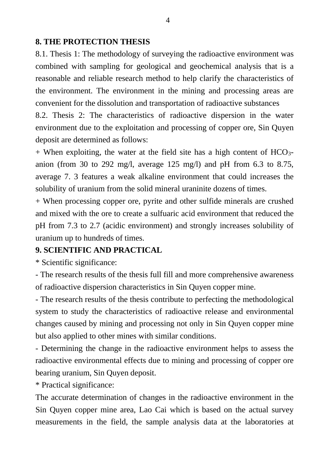#### **8. THE PROTECTION THESIS**

8.1. Thesis 1: The methodology of surveying the radioactive environment was combined with sampling for geological and geochemical analysis that is a reasonable and reliable research method to help clarify the characteristics of the environment. The environment in the mining and processing areas are convenient for the dissolution and transportation of radioactive substances

8.2. Thesis 2: The characteristics of radioactive dispersion in the water environment due to the exploitation and processing of copper ore, Sin Quyen deposit are determined as follows:

 $+$  When exploiting, the water at the field site has a high content of HCO<sub>3</sub>anion (from 30 to 292 mg/l, average 125 mg/l) and pH from 6.3 to 8.75, average 7. 3 features a weak alkaline environment that could increases the solubility of uranium from the solid mineral uraninite dozens of times.

+ When processing copper ore, pyrite and other sulfide minerals are crushed and mixed with the ore to create a sulfuaric acid environment that reduced the pH from 7.3 to 2.7 (acidic environment) and strongly increases solubility of uranium up to hundreds of times.

#### **9. SCIENTIFIC AND PRACTICAL**

\* Scientific significance:

- The research results of the thesis full fill and more comprehensive awareness of radioactive dispersion characteristics in Sin Quyen copper mine.

- The research results of the thesis contribute to perfecting the methodological system to study the characteristics of radioactive release and environmental changes caused by mining and processing not only in Sin Quyen copper mine but also applied to other mines with similar conditions.

- Determining the change in the radioactive environment helps to assess the radioactive environmental effects due to mining and processing of copper ore bearing uranium, Sin Quyen deposit.

\* Practical significance:

The accurate determination of changes in the radioactive environment in the Sin Quyen copper mine area, Lao Cai which is based on the actual survey measurements in the field, the sample analysis data at the laboratories at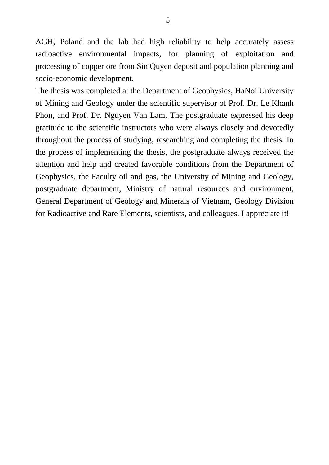AGH, Poland and the lab had high reliability to help accurately assess radioactive environmental impacts, for planning of exploitation and processing of copper ore from Sin Quyen deposit and population planning and socio-economic development.

The thesis was completed at the Department of Geophysics, HaNoi University of Mining and Geology under the scientific supervisor of Prof. Dr. Le Khanh Phon, and Prof. Dr. Nguyen Van Lam. The postgraduate expressed his deep gratitude to the scientific instructors who were always closely and devotedly throughout the process of studying, researching and completing the thesis. In the process of implementing the thesis, the postgraduate always received the attention and help and created favorable conditions from the Department of Geophysics, the Faculty oil and gas, the University of Mining and Geology, postgraduate department, Ministry of natural resources and environment, General Department of Geology and Minerals of Vietnam, Geology Division for Radioactive and Rare Elements, scientists, and colleagues. I appreciate it!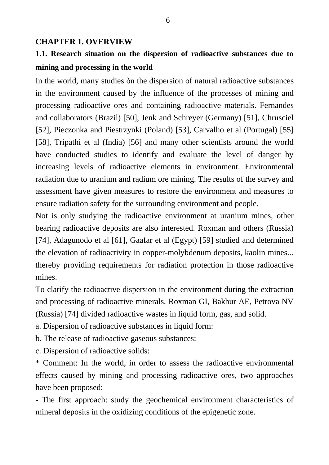#### **CHAPTER 1. OVERVIEW**

## **1.1. Research situation on the dispersion of radioactive substances due to mining and processing in the world**

In the world, many studies òn the dispersion of natural radioactive substances in the environment caused by the influence of the processes of mining and processing radioactive ores and containing radioactive materials. Fernandes and collaborators (Brazil) [50], Jenk and Schreyer (Germany) [51], Chrusciel [52], Pieczonka and Piestrzynki (Poland) [53], Carvalho et al (Portugal) [55] [58], Tripathi et al (India) [56] and many other scientists around the world have conducted studies to identify and evaluate the level of danger by increasing levels of radioactive elements in environment. Environmental radiation due to uranium and radium ore mining. The results of the survey and assessment have given measures to restore the environment and measures to ensure radiation safety for the surrounding environment and people.

Not is only studying the radioactive environment at uranium mines, other bearing radioactive deposits are also interested. Roxman and others (Russia) [74], Adagunodo et al [61], Gaafar et al (Egypt) [59] studied and determined the elevation of radioactivity in copper-molybdenum deposits, kaolin mines... thereby providing requirements for radiation protection in those radioactive mines.

To clarify the radioactive dispersion in the environment during the extraction and processing of radioactive minerals, Roxman GI, Bakhur AE, Petrova NV (Russia) [74] divided radioactive wastes in liquid form, gas, and solid.

a. Dispersion of radioactive substances in liquid form:

b. The release of radioactive gaseous substances:

c. Dispersion of radioactive solids:

\* Comment: In the world, in order to assess the radioactive environmental effects caused by mining and processing radioactive ores, two approaches have been proposed:

- The first approach: study the geochemical environment characteristics of mineral deposits in the oxidizing conditions of the epigenetic zone.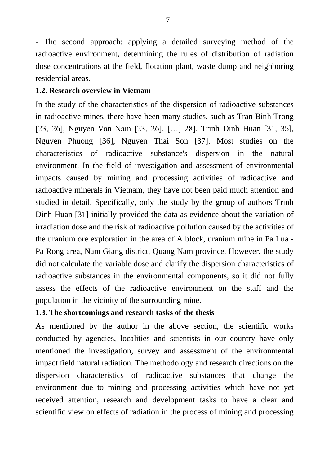- The second approach: applying a detailed surveying method of the radioactive environment, determining the rules of distribution of radiation dose concentrations at the field, flotation plant, waste dump and neighboring residential areas.

#### **1.2. Research overview in Vietnam**

In the study of the characteristics of the dispersion of radioactive substances in radioactive mines, there have been many studies, such as Tran Binh Trong [23, 26], Nguyen Van Nam [23, 26], […] 28], Trinh Dinh Huan [31, 35], Nguyen Phuong [36], Nguyen Thai Son [37]. Most studies on the characteristics of radioactive substance's dispersion in the natural environment. In the field of investigation and assessment of environmental impacts caused by mining and processing activities of radioactive and radioactive minerals in Vietnam, they have not been paid much attention and studied in detail. Specifically, only the study by the group of authors Trinh Dinh Huan [31] initially provided the data as evidence about the variation of irradiation dose and the risk of radioactive pollution caused by the activities of the uranium ore exploration in the area of A block, uranium mine in Pa Lua - Pa Rong area, Nam Giang district, Quang Nam province. However, the study did not calculate the variable dose and clarify the dispersion characteristics of radioactive substances in the environmental components, so it did not fully assess the effects of the radioactive environment on the staff and the population in the vicinity of the surrounding mine.

#### **1.3. The shortcomings and research tasks of the thesis**

As mentioned by the author in the above section, the scientific works conducted by agencies, localities and scientists in our country have only mentioned the investigation, survey and assessment of the environmental impact field natural radiation. The methodology and research directions on the dispersion characteristics of radioactive substances that change the environment due to mining and processing activities which have not yet received attention, research and development tasks to have a clear and scientific view on effects of radiation in the process of mining and processing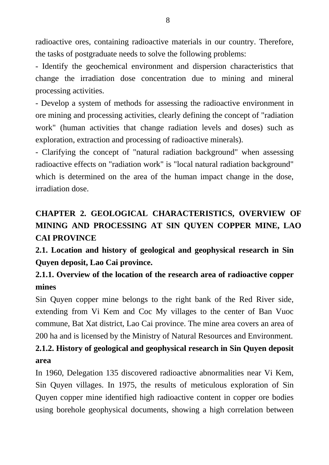radioactive ores, containing radioactive materials in our country. Therefore, the tasks of postgraduate needs to solve the following problems:

- Identify the geochemical environment and dispersion characteristics that change the irradiation dose concentration due to mining and mineral processing activities.

- Develop a system of methods for assessing the radioactive environment in ore mining and processing activities, clearly defining the concept of "radiation work" (human activities that change radiation levels and doses) such as exploration, extraction and processing of radioactive minerals).

- Clarifying the concept of "natural radiation background" when assessing radioactive effects on "radiation work" is "local natural radiation background" which is determined on the area of the human impact change in the dose, irradiation dose.

# **CHAPTER 2. GEOLOGICAL CHARACTERISTICS, OVERVIEW OF MINING AND PROCESSING AT SIN QUYEN COPPER MINE, LAO CAI PROVINCE**

**2.1. Location and history of geological and geophysical research in Sin Quyen deposit, Lao Cai province.**

## **2.1.1. Overview of the location of the research area of radioactive copper mines**

Sin Quyen copper mine belongs to the right bank of the Red River side, extending from Vi Kem and Coc My villages to the center of Ban Vuoc commune, Bat Xat district, Lao Cai province. The mine area covers an area of 200 ha and is licensed by the Ministry of Natural Resources and Environment.

# **2.1.2. History of geological and geophysical research in Sin Quyen deposit area**

In 1960, Delegation 135 discovered radioactive abnormalities near Vi Kem, Sin Quyen villages. In 1975, the results of meticulous exploration of Sin Quyen copper mine identified high radioactive content in copper ore bodies using borehole geophysical documents, showing a high correlation between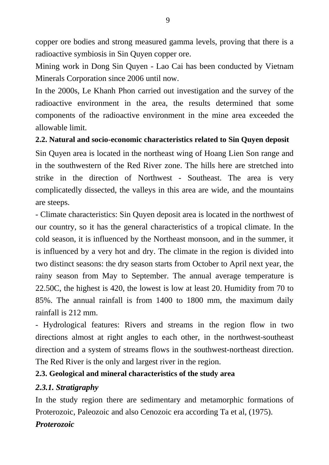copper ore bodies and strong measured gamma levels, proving that there is a radioactive symbiosis in Sin Quyen copper ore.

Mining work in Dong Sin Quyen - Lao Cai has been conducted by Vietnam Minerals Corporation since 2006 until now.

In the 2000s, Le Khanh Phon carried out investigation and the survey of the radioactive environment in the area, the results determined that some components of the radioactive environment in the mine area exceeded the allowable limit.

#### **2.2. Natural and socio-economic characteristics related to Sin Quyen deposit**

Sin Quyen area is located in the northeast wing of Hoang Lien Son range and in the southwestern of the Red River zone. The hills here are stretched into strike in the direction of Northwest - Southeast. The area is very complicatedly dissected, the valleys in this area are wide, and the mountains are steeps.

- Climate characteristics: Sin Quyen deposit area is located in the northwest of our country, so it has the general characteristics of a tropical climate. In the cold season, it is influenced by the Northeast monsoon, and in the summer, it is influenced by a very hot and dry. The climate in the region is divided into two distinct seasons: the dry season starts from October to April next year, the rainy season from May to September. The annual average temperature is 22.50C, the highest is 420, the lowest is low at least 20. Humidity from 70 to 85%. The annual rainfall is from 1400 to 1800 mm, the maximum daily rainfall is 212 mm.

- Hydrological features: Rivers and streams in the region flow in two directions almost at right angles to each other, in the northwest-southeast direction and a system of streams flows in the southwest-northeast direction. The Red River is the only and largest river in the region.

### **2.3. Geological and mineral characteristics of the study area**

### *2.3.1. Stratigraphy*

In the study region there are sedimentary and metamorphic formations of Proterozoic, Paleozoic and also Cenozoic era according Ta et al, (1975). *Proterozoic*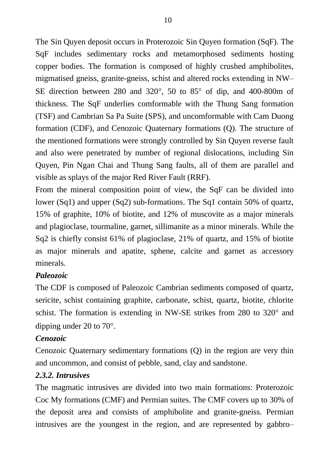The Sin Quyen deposit occurs in Proterozoic Sin Quyen formation (SqF). The SqF includes sedimentary rocks and metamorphosed sediments hosting copper bodies. The formation is composed of highly crushed amphibolites, migmatised gneiss, granite-gneiss, schist and altered rocks extending in NW– SE direction between 280 and 320 $^{\circ}$ , 50 to 85 $^{\circ}$  of dip, and 400-800m of thickness. The SqF underlies comformable with the Thung Sang formation (TSF) and Cambrian Sa Pa Suite (SPS), and uncomformable with Cam Duong formation (CDF), and Cenozoic Quaternary formations (Q). The structure of the mentioned formations were strongly controlled by Sin Quyen reverse fault and also were penetrated by number of regional dislocations, including Sin Quyen, Pin Ngan Chai and Thung Sang faults, all of them are parallel and visible as splays of the major Red River Fault (RRF).

From the mineral composition point of view, the SqF can be divided into lower (Sq1) and upper (Sq2) sub-formations. The Sq1 contain 50% of quartz, 15% of graphite, 10% of biotite, and 12% of muscovite as a major minerals and plagioclase, tourmaline, garnet, sillimanite as a minor minerals. While the Sq2 is chiefly consist 61% of plagioclase, 21% of quartz, and 15% of biotite as major minerals and apatite, sphene, calcite and garnet as accessory minerals.

### *Paleozoic*

The CDF is composed of Paleozoic Cambrian sediments composed of quartz, sericite, schist containing graphite, carbonate, schist, quartz, biotite, chlorite schist. The formation is extending in NW-SE strikes from 280 to 320° and dipping under 20 to  $70^{\circ}$ .

#### *Cenozoic*

Cenozoic Quaternary sedimentary formations (Q) in the region are very thin and uncommon, and consist of pebble, sand, clay and sandstone.

#### *2.3.2. Intrusives*

The magmatic intrusives are divided into two main formations: Proterozoic Coc My formations (CMF) and Permian suites. The CMF covers up to 30% of the deposit area and consists of amphibolite and granite-gneiss. Permian intrusives are the youngest in the region, and are represented by gabbro–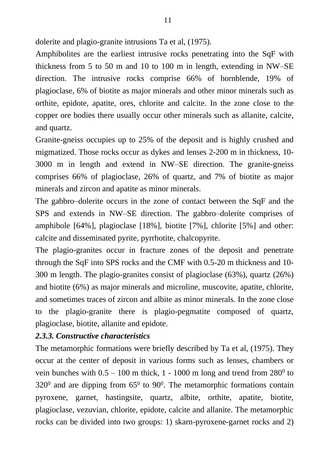dolerite and plagio-granite intrusions Ta et al, (1975).

Amphibolites are the earliest intrusive rocks penetrating into the SqF with thickness from 5 to 50 m and 10 to 100 m in length, extending in NW–SE direction. The intrusive rocks comprise 66% of hornblende, 19% of plagioclase, 6% of biotite as major minerals and other minor minerals such as orthite, epidote, apatite, ores, chlorite and calcite. In the zone close to the copper ore bodies there usually occur other minerals such as allanite, calcite, and quartz.

Granite-gneiss occupies up to 25% of the deposit and is highly crushed and migmatized. Those rocks occur as dykes and lenses 2-200 m in thickness, 10- 3000 m in length and extend in NW–SE direction. The granite-gneiss comprises 66% of plagioclase, 26% of quartz, and 7% of biotite as major minerals and zircon and apatite as minor minerals.

The gabbro–dolerite occurs in the zone of contact between the SqF and the SPS and extends in NW–SE direction. The gabbro–dolerite comprises of amphibole [64%], plagioclase [18%], biotite [7%], chlorite [5%] and other: calcite and disseminated pyrite, pyrrhotite, chalcopyrite.

The plagio-granites occur in fracture zones of the deposit and penetrate through the SqF into SPS rocks and the CMF with 0.5-20 m thickness and 10- 300 m length. The plagio-granites consist of plagioclase (63%), quartz (26%) and biotite (6%) as major minerals and microline, muscovite, apatite, chlorite, and sometimes traces of zircon and albite as minor minerals. In the zone close to the plagio-granite there is plagio-pegmatite composed of quartz, plagioclase, biotite, allanite and epidote.

#### *2.3.3. Constructive characteristics*

The metamorphic formations were briefly described by Ta et al, (1975). They occur at the center of deposit in various forms such as lenses, chambers or vein bunches with  $0.5 - 100$  m thick,  $1 - 1000$  m long and trend from  $280^{\circ}$  to  $320^{\circ}$  and are dipping from  $65^{\circ}$  to  $90^{\circ}$ . The metamorphic formations contain pyroxene, garnet, hastingsite, quartz, albite, orthite, apatite, biotite, plagioclase, vezuvian, chlorite, epidote, calcite and allanite. The metamorphic rocks can be divided into two groups: 1) skarn-pyroxene-garnet rocks and 2)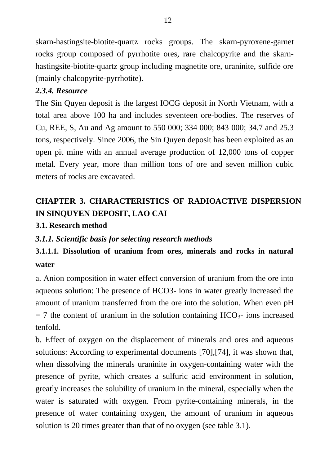skarn-hastingsite-biotite-quartz rocks groups. The skarn-pyroxene-garnet rocks group composed of pyrrhotite ores, rare chalcopyrite and the skarnhastingsite-biotite-quartz group including magnetite ore, uraninite, sulfide ore (mainly chalcopyrite-pyrrhotite).

#### *2.3.4. Resource*

The Sin Quyen deposit is the largest IOCG deposit in North Vietnam, with a total area above 100 ha and includes seventeen ore-bodies. The reserves of Cu, REE, S, Au and Ag amount to 550 000; 334 000; 843 000; 34.7 and 25.3 tons, respectively. Since 2006, the Sin Quyen deposit has been exploited as an open pit mine with an annual average production of 12,000 tons of copper metal. Every year, more than million tons of ore and seven million cubic meters of rocks are excavated.

# **CHAPTER 3. CHARACTERISTICS OF RADIOACTIVE DISPERSION IN SINQUYEN DEPOSIT, LAO CAI**

### **3.1. Research method**

### *3.1.1. Scientific basis for selecting research methods*

## **3.1.1.1. Dissolution of uranium from ores, minerals and rocks in natural water**

a. Anion composition in water effect conversion of uranium from the ore into aqueous solution: The presence of HCO3- ions in water greatly increased the amount of uranium transferred from the ore into the solution. When even pH  $= 7$  the content of uranium in the solution containing  $HCO<sub>3</sub>$  ions increased tenfold.

b. Effect of oxygen on the displacement of minerals and ores and aqueous solutions: According to experimental documents [70],[74], it was shown that, when dissolving the minerals uraninite in oxygen-containing water with the presence of pyrite, which creates a sulfuric acid environment in solution, greatly increases the solubility of uranium in the mineral, especially when the water is saturated with oxygen. From pyrite-containing minerals, in the presence of water containing oxygen, the amount of uranium in aqueous solution is 20 times greater than that of no oxygen (see table 3.1).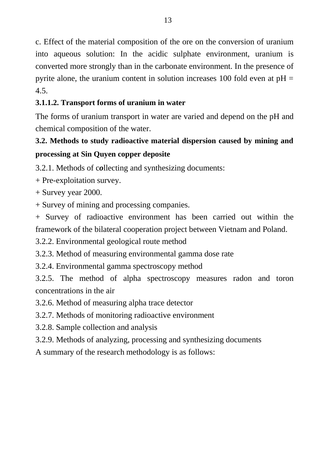c. Effect of the material composition of the ore on the conversion of uranium into aqueous solution: In the acidic sulphate environment, uranium is converted more strongly than in the carbonate environment. In the presence of pyrite alone, the uranium content in solution increases 100 fold even at  $pH =$ 4.5.

## **3.1.1.2. Transport forms of uranium in water**

The forms of uranium transport in water are varied and depend on the pH and chemical composition of the water.

# **3.2. Methods to study radioactive material dispersion caused by mining and processing at Sin Quyen copper deposite**

3.2.1. Methods of c*o*llecting and synthesizing documents:

- + Pre-exploitation survey.
- + Survey year 2000.
- + Survey of mining and processing companies.

+ Survey of radioactive environment has been carried out within the framework of the bilateral cooperation project between Vietnam and Poland.

3.2.2. Environmental geological route method

3.2.3. Method of measuring environmental gamma dose rate

3.2.4. Environmental gamma spectroscopy method

3.2.5. The method of alpha spectroscopy measures radon and toron concentrations in the air

- 3.2.6. Method of measuring alpha trace detector
- 3.2.7. Methods of monitoring radioactive environment
- 3.2.8. Sample collection and analysis
- 3.2.9. Methods of analyzing, processing and synthesizing documents
- A summary of the research methodology is as follows: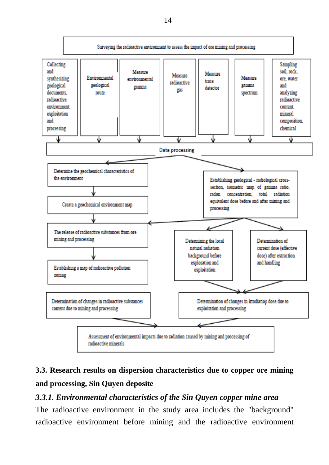

# **3.3. Research results on dispersion characteristics due to copper ore mining and processing, Sin Quyen deposite**

#### *3.3.1. Environmental characteristics of the Sin Quyen copper mine area*

The radioactive environment in the study area includes the "background" radioactive environment before mining and the radioactive environment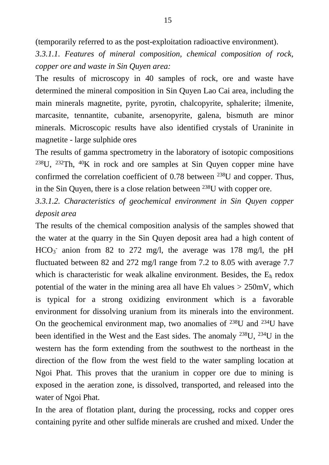(temporarily referred to as the post-exploitation radioactive environment).

*3.3.1.1. Features of mineral composition, chemical composition of rock, copper ore and waste in Sin Quyen area:*

The results of microscopy in 40 samples of rock, ore and waste have determined the mineral composition in Sin Quyen Lao Cai area, including the main minerals magnetite, pyrite, pyrotin, chalcopyrite, sphalerite; ilmenite, marcasite, tennantite, cubanite, arsenopyrite, galena, bismuth are minor minerals. Microscopic results have also identified crystals of Uraninite in magnetite - large sulphide ores

The results of gamma spectrometry in the laboratory of isotopic compositions <sup>238</sup>U, <sup>232</sup>Th, <sup>40</sup>K in rock and ore samples at Sin Ouven copper mine have confirmed the correlation coefficient of 0.78 between <sup>238</sup>U and copper. Thus, in the Sin Quyen, there is a close relation between  $^{238}$ U with copper ore.

*3.3.1.2. Characteristics of geochemical environment in Sin Quyen copper deposit area*

The results of the chemical composition analysis of the samples showed that the water at the quarry in the Sin Quyen deposit area had a high content of HCO<sub>3</sub> anion from 82 to 272 mg/l, the average was 178 mg/l, the pH fluctuated between 82 and 272 mg/l range from 7.2 to 8.05 with average 7.7 which is characteristic for weak alkaline environment. Besides, the  $E_h$  redox potential of the water in the mining area all have Eh values  $> 250$  mV, which is typical for a strong oxidizing environment which is a favorable environment for dissolving uranium from its minerals into the environment. On the geochemical environment map, two anomalies of  $^{238}$ U and  $^{234}$ U have been identified in the West and the East sides. The anomaly  $^{238}$ U,  $^{234}$ U in the western has the form extending from the southwest to the northeast in the direction of the flow from the west field to the water sampling location at Ngoi Phat. This proves that the uranium in copper ore due to mining is exposed in the aeration zone, is dissolved, transported, and released into the water of Ngoi Phat.

In the area of flotation plant, during the processing, rocks and copper ores containing pyrite and other sulfide minerals are crushed and mixed. Under the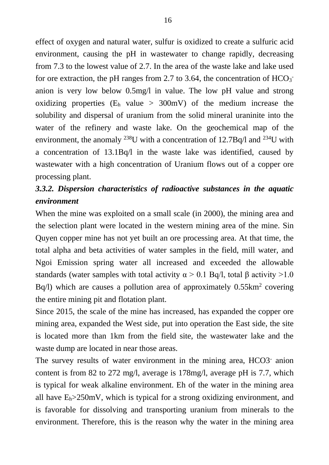effect of oxygen and natural water, sulfur is oxidized to create a sulfuric acid environment, causing the pH in wastewater to change rapidly, decreasing from 7.3 to the lowest value of 2.7. In the area of the waste lake and lake used for ore extraction, the pH ranges from 2.7 to 3.64, the concentration of  $HCO<sub>3</sub>$ anion is very low below 0.5mg/l in value. The low pH value and strong oxidizing properties  $(E<sub>h</sub>$  value > 300mV) of the medium increase the solubility and dispersal of uranium from the solid mineral uraninite into the water of the refinery and waste lake. On the geochemical map of the environment, the anomaly <sup>238</sup>U with a concentration of 12.7Bq/l and <sup>234</sup>U with a concentration of 13.1Bq/l in the waste lake was identified, caused by wastewater with a high concentration of Uranium flows out of a copper ore processing plant.

## *3.3.2. Dispersion characteristics of radioactive substances in the aquatic environment*

When the mine was exploited on a small scale (in 2000), the mining area and the selection plant were located in the western mining area of the mine. Sin Quyen copper mine has not yet built an ore processing area. At that time, the total alpha and beta activities of water samples in the field, mill water, and Ngoi Emission spring water all increased and exceeded the allowable standards (water samples with total activity  $\alpha > 0.1$  Bq/l, total β activity >1.0  $Bq/l$ ) which are causes a pollution area of approximately  $0.55 \text{km}^2$  covering the entire mining pit and flotation plant.

Since 2015, the scale of the mine has increased, has expanded the copper ore mining area, expanded the West side, put into operation the East side, the site is located more than 1km from the field site, the wastewater lake and the waste dump are located in near those areas.

The survey results of water environment in the mining area, HCO3- anion content is from 82 to 272 mg/l, average is 178mg/l, average pH is 7.7, which is typical for weak alkaline environment. Eh of the water in the mining area all have  $E_b > 250$  mV, which is typical for a strong oxidizing environment, and is favorable for dissolving and transporting uranium from minerals to the environment. Therefore, this is the reason why the water in the mining area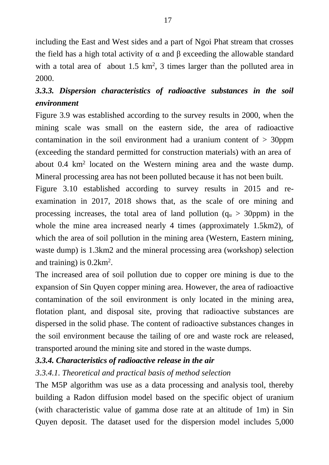including the East and West sides and a part of Ngoi Phat stream that crosses the field has a high total activity of  $\alpha$  and  $\beta$  exceeding the allowable standard with a total area of about  $1.5 \text{ km}^2$ , 3 times larger than the polluted area in 2000.

# *3.3.3. Dispersion characteristics of radioactive substances in the soil environment*

Figure 3.9 was established according to the survey results in 2000, when the mining scale was small on the eastern side, the area of radioactive contamination in the soil environment had a uranium content of  $>$  30ppm (exceeding the standard permitted for construction materials) with an area of about 0.4 km<sup>2</sup> located on the Western mining area and the waste dump. Mineral processing area has not been polluted because it has not been built.

Figure 3.10 established according to survey results in 2015 and reexamination in 2017, 2018 shows that, as the scale of ore mining and processing increases, the total area of land pollution  $(q_u > 30$ ppm) in the whole the mine area increased nearly 4 times (approximately 1.5km2), of which the area of soil pollution in the mining area (Western, Eastern mining, waste dump) is 1.3km2 and the mineral processing area (workshop) selection and training) is  $0.2 \text{km}^2$ .

The increased area of soil pollution due to copper ore mining is due to the expansion of Sin Quyen copper mining area. However, the area of radioactive contamination of the soil environment is only located in the mining area, flotation plant, and disposal site, proving that radioactive substances are dispersed in the solid phase. The content of radioactive substances changes in the soil environment because the tailing of ore and waste rock are released, transported around the mining site and stored in the waste dumps.

### *3.3.4. Characteristics of radioactive release in the air*

### *3.3.4.1. Theoretical and practical basis of method selection*

The M5P algorithm was use as a data processing and analysis tool, thereby building a Radon diffusion model based on the specific object of uranium (with characteristic value of gamma dose rate at an altitude of 1m) in Sin Quyen deposit. The dataset used for the dispersion model includes 5,000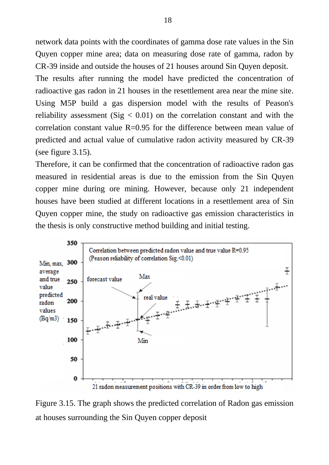network data points with the coordinates of gamma dose rate values in the Sin Quyen copper mine area; data on measuring dose rate of gamma, radon by CR-39 inside and outside the houses of 21 houses around Sin Quyen deposit.

The results after running the model have predicted the concentration of radioactive gas radon in 21 houses in the resettlement area near the mine site. Using M5P build a gas dispersion model with the results of Peason's reliability assessment (Sig  $\leq$  0.01) on the correlation constant and with the correlation constant value  $R=0.95$  for the difference between mean value of predicted and actual value of cumulative radon activity measured by CR-39 (see figure 3.15).

Therefore, it can be confirmed that the concentration of radioactive radon gas measured in residential areas is due to the emission from the Sin Quyen copper mine during ore mining. However, because only 21 independent houses have been studied at different locations in a resettlement area of Sin Quyen copper mine, the study on radioactive gas emission characteristics in the thesis is only constructive method building and initial testing.



Figure 3.15. The graph shows the predicted correlation of Radon gas emission at houses surrounding the Sin Quyen copper deposit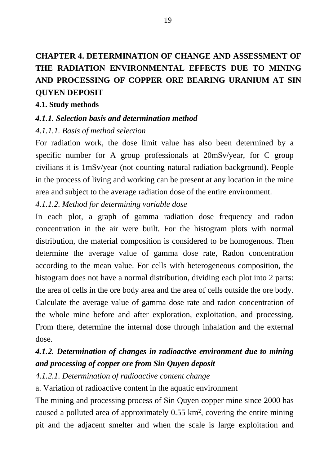# **CHAPTER 4. DETERMINATION OF CHANGE AND ASSESSMENT OF THE RADIATION ENVIRONMENTAL EFFECTS DUE TO MINING AND PROCESSING OF COPPER ORE BEARING URANIUM AT SIN QUYEN DEPOSIT**

#### **4.1. Study methods**

#### *4.1.1. Selection basis and determination method*

#### *4.1.1.1. Basis of method selection*

For radiation work, the dose limit value has also been determined by a specific number for A group professionals at 20mSv/year, for C group civilians it is 1mSv/year (not counting natural radiation background). People in the process of living and working can be present at any location in the mine area and subject to the average radiation dose of the entire environment.

### *4.1.1.2. Method for determining variable dose*

In each plot, a graph of gamma radiation dose frequency and radon concentration in the air were built. For the histogram plots with normal distribution, the material composition is considered to be homogenous. Then determine the average value of gamma dose rate, Radon concentration according to the mean value. For cells with heterogeneous composition, the histogram does not have a normal distribution, dividing each plot into 2 parts: the area of cells in the ore body area and the area of cells outside the ore body. Calculate the average value of gamma dose rate and radon concentration of the whole mine before and after exploration, exploitation, and processing. From there, determine the internal dose through inhalation and the external dose.

## *4.1.2. Determination of changes in radioactive environment due to mining and processing of copper ore from Sin Quyen deposit*

### *4.1.2.1. Determination of radioactive content change*

a. Variation of radioactive content in the aquatic environment

The mining and processing process of Sin Quyen copper mine since 2000 has caused a polluted area of approximately  $0.55 \text{ km}^2$ , covering the entire mining pit and the adjacent smelter and when the scale is large exploitation and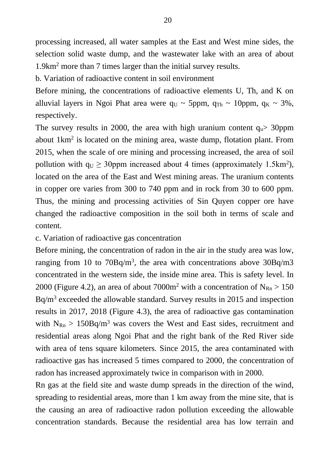processing increased, all water samples at the East and West mine sides, the selection solid waste dump, and the wastewater lake with an area of about 1.9km<sup>2</sup> more than 7 times larger than the initial survey results.

b. Variation of radioactive content in soil environment

Before mining, the concentrations of radioactive elements U, Th, and K on alluvial layers in Ngoi Phat area were  $q_U \sim 5$ ppm,  $q_{Th} \sim 10$ ppm,  $q_K \sim 3\%$ , respectively.

The survey results in 2000, the area with high uranium content  $q_u$  30ppm about  $1 \text{km}^2$  is located on the mining area, waste dump, flotation plant. From 2015, when the scale of ore mining and processing increased, the area of soil pollution with  $q_U \geq 30$ ppm increased about 4 times (approximately 1.5km<sup>2</sup>), located on the area of the East and West mining areas. The uranium contents in copper ore varies from 300 to 740 ppm and in rock from 30 to 600 ppm. Thus, the mining and processing activities of Sin Quyen copper ore have changed the radioactive composition in the soil both in terms of scale and content.

c. Variation of radioactive gas concentration

Before mining, the concentration of radon in the air in the study area was low, ranging from 10 to  $70Bq/m<sup>3</sup>$ , the area with concentrations above  $30Bq/m3$ concentrated in the western side, the inside mine area. This is safety level. In 2000 (Figure 4.2), an area of about 7000 $m^2$  with a concentration of N<sub>Rn</sub> > 150 Bq/m<sup>3</sup> exceeded the allowable standard. Survey results in 2015 and inspection results in 2017, 2018 (Figure 4.3), the area of radioactive gas contamination with  $N_{\text{Rn}} > 150Bq/m^3$  was covers the West and East sides, recruitment and residential areas along Ngoi Phat and the right bank of the Red River side with area of tens square kilometers. Since 2015, the area contaminated with radioactive gas has increased 5 times compared to 2000, the concentration of radon has increased approximately twice in comparison with in 2000.

Rn gas at the field site and waste dump spreads in the direction of the wind, spreading to residential areas, more than 1 km away from the mine site, that is the causing an area of radioactive radon pollution exceeding the allowable concentration standards. Because the residential area has low terrain and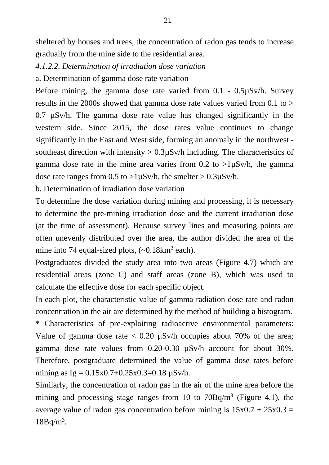sheltered by houses and trees, the concentration of radon gas tends to increase gradually from the mine side to the residential area.

- *4.1.2.2. Determination of irradiation dose variation*
- a. Determination of gamma dose rate variation

Before mining, the gamma dose rate varied from 0.1 - 0.5µSv/h. Survey results in the 2000s showed that gamma dose rate values varied from 0.1 to >  $0.7 \mu$ Sv/h. The gamma dose rate value has changed significantly in the western side. Since 2015, the dose rates value continues to change significantly in the East and West side, forming an anomaly in the northwest southeast direction with intensity  $> 0.3\mu Sv/h$  including. The characteristics of gamma dose rate in the mine area varies from  $0.2$  to  $>1$ uSv/h, the gamma dose rate ranges from  $0.5$  to  $>1\mu Sv/h$ , the smelter  $> 0.3\mu Sv/h$ .

b. Determination of irradiation dose variation

To determine the dose variation during mining and processing, it is necessary to determine the pre-mining irradiation dose and the current irradiation dose (at the time of assessment). Because survey lines and measuring points are often unevenly distributed over the area, the author divided the area of the mine into 74 equal-sized plots,  $(-0.18 \text{km}^2 \text{ each})$ .

Postgraduates divided the study area into two areas (Figure 4.7) which are residential areas (zone C) and staff areas (zone B), which was used to calculate the effective dose for each specific object.

In each plot, the characteristic value of gamma radiation dose rate and radon concentration in the air are determined by the method of building a histogram.

\* Characteristics of pre-exploiting radioactive environmental parameters: Value of gamma dose rate  $\langle 0.20 \text{ uSv/h} \rangle$  occupies about 70% of the area; gamma dose rate values from 0.20-0.30 µSv/h account for about 30%. Therefore, postgraduate determined the value of gamma dose rates before mining as  $Ig = 0.15x0.7+0.25x0.3=0.18 \mu Sv/h$ .

Similarly, the concentration of radon gas in the air of the mine area before the mining and processing stage ranges from 10 to  $70Bq/m<sup>3</sup>$  (Figure 4.1), the average value of radon gas concentration before mining is  $15x0.7 + 25x0.3 =$  $18Bq/m<sup>3</sup>$ .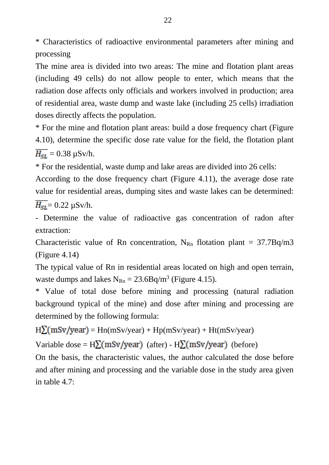\* Characteristics of radioactive environmental parameters after mining and processing

The mine area is divided into two areas: The mine and flotation plant areas (including 49 cells) do not allow people to enter, which means that the radiation dose affects only officials and workers involved in production; area of residential area, waste dump and waste lake (including 25 cells) irradiation doses directly affects the population.

\* For the mine and flotation plant areas: build a dose frequency chart (Figure 4.10), determine the specific dose rate value for the field, the flotation plant  $\overline{H_{SL}}$  = 0.38 µSv/h.

\* For the residential, waste dump and lake areas are divided into 26 cells:

According to the dose frequency chart (Figure 4.11), the average dose rate value for residential areas, dumping sites and waste lakes can be determined:

 $\overline{H_{SL}}$  = 0.22 µSv/h.

- Determine the value of radioactive gas concentration of radon after extraction:

Characteristic value of Rn concentration,  $N_{Rn}$  flotation plant = 37.7Bq/m3 (Figure 4.14)

The typical value of Rn in residential areas located on high and open terrain, waste dumps and lakes  $N_{\text{Rn}} = 23.6Bq/m^3$  (Figure 4.15).

\* Value of total dose before mining and processing (natural radiation background typical of the mine) and dose after mining and processing are determined by the following formula:

 $H\Sigma(mSv/year) = Hn(mSv/year) + Hp(mSv/year) + Ht(mSv/year)$ 

Variable dose =  $H\Sigma(mSv/year)$  (after) -  $H\Sigma(mSv/year)$  (before)

On the basis, the characteristic values, the author calculated the dose before and after mining and processing and the variable dose in the study area given in table 4.7: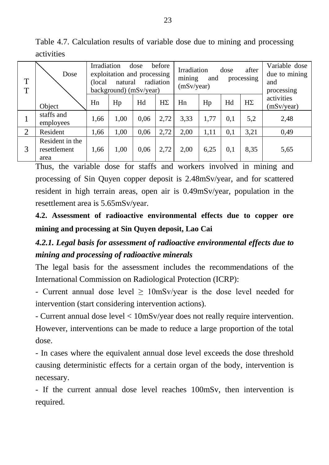Table 4.7. Calculation results of variable dose due to mining and processing activities

| T<br>T         | Dose<br>Object                          | before<br>Irradiation<br>dose<br>exploitation and processing<br>radiation<br>natural<br>(local<br>background) (mSv/year) |      |      |           | Irradiation<br>after<br>dose<br>mining<br>and<br>processing<br>(mSv/year) |      |     |           | Variable dose<br>due to mining<br>and<br>processing |
|----------------|-----------------------------------------|--------------------------------------------------------------------------------------------------------------------------|------|------|-----------|---------------------------------------------------------------------------|------|-----|-----------|-----------------------------------------------------|
|                |                                         | Hn                                                                                                                       | Hp   | Hd   | $H\Sigma$ | Hn                                                                        | Hp   | Hd  | $H\Sigma$ | activities<br>(mSv/year)                            |
|                | staffs and<br>employees                 | 1,66                                                                                                                     | 1,00 | 0,06 | 2,72      | 3.33                                                                      | 1.77 | 0,1 | 5,2       | 2,48                                                |
| $\overline{2}$ | Resident                                | 1,66                                                                                                                     | 1,00 | 0,06 | 2,72      | 2,00                                                                      | 1.11 | 0,1 | 3,21      | 0.49                                                |
| 3              | Resident in the<br>resettlement<br>area | 1,66                                                                                                                     | 1,00 | 0,06 | 2,72      | 2,00                                                                      | 6,25 | 0,1 | 8.35      | 5,65                                                |

Thus, the variable dose for staffs and workers involved in mining and processing of Sin Quyen copper deposit is 2.48mSv/year, and for scattered resident in high terrain areas, open air is 0.49mSv/year, population in the resettlement area is 5.65mSv/year.

**4.2. Assessment of radioactive environmental effects due to copper ore mining and processing at Sin Quyen deposit, Lao Cai**

# *4.2.1. Legal basis for assessment of radioactive environmental effects due to mining and processing of radioactive minerals*

The legal basis for the assessment includes the recommendations of the International Commission on Radiological Protection (ICRP):

- Current annual dose level  $\geq 10$ mSv/year is the dose level needed for intervention (start considering intervention actions).

- Current annual dose level < 10mSv/year does not really require intervention. However, interventions can be made to reduce a large proportion of the total dose.

- In cases where the equivalent annual dose level exceeds the dose threshold causing deterministic effects for a certain organ of the body, intervention is necessary.

- If the current annual dose level reaches 100mSv, then intervention is required.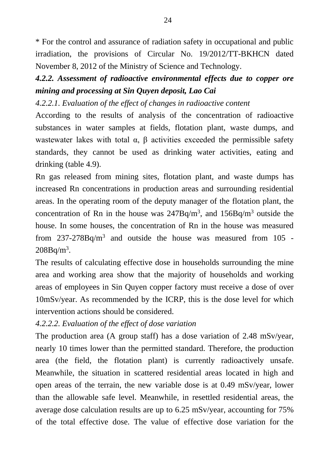\* For the control and assurance of radiation safety in occupational and public irradiation, the provisions of Circular No. 19/2012/TT-BKHCN dated November 8, 2012 of the Ministry of Science and Technology.

## *4.2.2. Assessment of radioactive environmental effects due to copper ore mining and processing at Sin Quyen deposit, Lao Cai*

*4.2.2.1. Evaluation of the effect of changes in radioactive content*

According to the results of analysis of the concentration of radioactive substances in water samples at fields, flotation plant, waste dumps, and wastewater lakes with total  $\alpha$ ,  $\beta$  activities exceeded the permissible safety standards, they cannot be used as drinking water activities, eating and drinking (table 4.9).

Rn gas released from mining sites, flotation plant, and waste dumps has increased Rn concentrations in production areas and surrounding residential areas. In the operating room of the deputy manager of the flotation plant, the concentration of Rn in the house was  $247Bq/m<sup>3</sup>$ , and  $156Bq/m<sup>3</sup>$  outside the house. In some houses, the concentration of Rn in the house was measured from 237-278Bq/m<sup>3</sup> and outside the house was measured from 105 -  $208Bq/m<sup>3</sup>$ .

The results of calculating effective dose in households surrounding the mine area and working area show that the majority of households and working areas of employees in Sin Quyen copper factory must receive a dose of over 10mSv/year. As recommended by the ICRP, this is the dose level for which intervention actions should be considered.

### *4.2.2.2. Evaluation of the effect of dose variation*

The production area (A group staff) has a dose variation of 2.48 mSv/year, nearly 10 times lower than the permitted standard. Therefore, the production area (the field, the flotation plant) is currently radioactively unsafe. Meanwhile, the situation in scattered residential areas located in high and open areas of the terrain, the new variable dose is at 0.49 mSv/year, lower than the allowable safe level. Meanwhile, in resettled residential areas, the average dose calculation results are up to 6.25 mSv/year, accounting for 75% of the total effective dose. The value of effective dose variation for the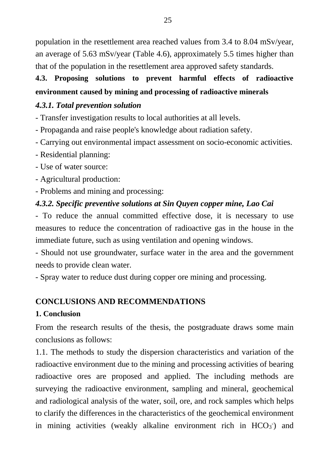population in the resettlement area reached values from 3.4 to 8.04 mSv/year, an average of 5.63 mSv/year (Table 4.6), approximately 5.5 times higher than that of the population in the resettlement area approved safety standards.

# **4.3. Proposing solutions to prevent harmful effects of radioactive environment caused by mining and processing of radioactive minerals**

### *4.3.1. Total prevention solution*

- Transfer investigation results to local authorities at all levels.

- Propaganda and raise people's knowledge about radiation safety.

- Carrying out environmental impact assessment on socio-economic activities.

- Residential planning:

- Use of water source:

- Agricultural production:

- Problems and mining and processing:

## *4.3.2. Specific preventive solutions at Sin Quyen copper mine, Lao Cai*

- To reduce the annual committed effective dose, it is necessary to use measures to reduce the concentration of radioactive gas in the house in the immediate future, such as using ventilation and opening windows.

- Should not use groundwater, surface water in the area and the government needs to provide clean water.

- Spray water to reduce dust during copper ore mining and processing.

## **CONCLUSIONS AND RECOMMENDATIONS**

### **1. Conclusion**

From the research results of the thesis, the postgraduate draws some main conclusions as follows:

1.1. The methods to study the dispersion characteristics and variation of the radioactive environment due to the mining and processing activities of bearing radioactive ores are proposed and applied. The including methods are surveying the radioactive environment, sampling and mineral, geochemical and radiological analysis of the water, soil, ore, and rock samples which helps to clarify the differences in the characteristics of the geochemical environment in mining activities (weakly alkaline environment rich in  $HCO<sub>3</sub>$ ) and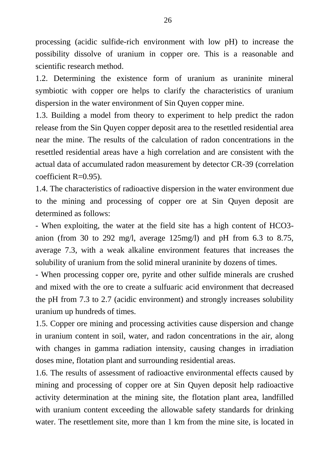processing (acidic sulfide-rich environment with low pH) to increase the possibility dissolve of uranium in copper ore. This is a reasonable and scientific research method.

1.2. Determining the existence form of uranium as uraninite mineral symbiotic with copper ore helps to clarify the characteristics of uranium dispersion in the water environment of Sin Quyen copper mine.

1.3. Building a model from theory to experiment to help predict the radon release from the Sin Quyen copper deposit area to the resettled residential area near the mine. The results of the calculation of radon concentrations in the resettled residential areas have a high correlation and are consistent with the actual data of accumulated radon measurement by detector CR-39 (correlation coefficient R=0.95).

1.4. The characteristics of radioactive dispersion in the water environment due to the mining and processing of copper ore at Sin Quyen deposit are determined as follows:

- When exploiting, the water at the field site has a high content of HCO3 anion (from 30 to 292 mg/l, average 125mg/l) and pH from 6.3 to 8.75, average 7.3, with a weak alkaline environment features that increases the solubility of uranium from the solid mineral uraninite by dozens of times.

- When processing copper ore, pyrite and other sulfide minerals are crushed and mixed with the ore to create a sulfuaric acid environment that decreased the pH from 7.3 to 2.7 (acidic environment) and strongly increases solubility uranium up hundreds of times.

1.5. Copper ore mining and processing activities cause dispersion and change in uranium content in soil, water, and radon concentrations in the air, along with changes in gamma radiation intensity, causing changes in irradiation doses mine, flotation plant and surrounding residential areas.

1.6. The results of assessment of radioactive environmental effects caused by mining and processing of copper ore at Sin Quyen deposit help radioactive activity determination at the mining site, the flotation plant area, landfilled with uranium content exceeding the allowable safety standards for drinking water. The resettlement site, more than 1 km from the mine site, is located in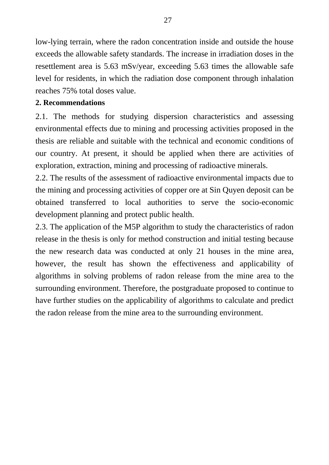low-lying terrain, where the radon concentration inside and outside the house exceeds the allowable safety standards. The increase in irradiation doses in the resettlement area is 5.63 mSv/year, exceeding 5.63 times the allowable safe level for residents, in which the radiation dose component through inhalation reaches 75% total doses value.

#### **2. Recommendations**

2.1. The methods for studying dispersion characteristics and assessing environmental effects due to mining and processing activities proposed in the thesis are reliable and suitable with the technical and economic conditions of our country. At present, it should be applied when there are activities of exploration, extraction, mining and processing of radioactive minerals.

2.2. The results of the assessment of radioactive environmental impacts due to the mining and processing activities of copper ore at Sin Quyen deposit can be obtained transferred to local authorities to serve the socio-economic development planning and protect public health.

2.3. The application of the M5P algorithm to study the characteristics of radon release in the thesis is only for method construction and initial testing because the new research data was conducted at only 21 houses in the mine area, however, the result has shown the effectiveness and applicability of algorithms in solving problems of radon release from the mine area to the surrounding environment. Therefore, the postgraduate proposed to continue to have further studies on the applicability of algorithms to calculate and predict the radon release from the mine area to the surrounding environment.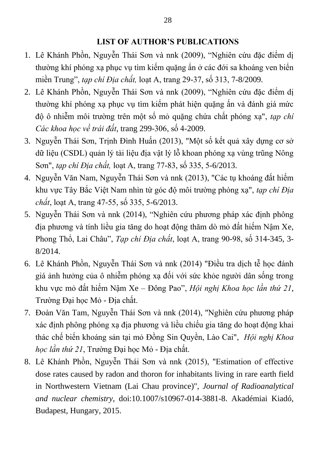### **LIST OF AUTHOR'S PUBLICATIONS**

- 1. Lê Khánh Phồn, Nguyễn Thái Sơn và nnk (2009), "Nghiên cứu đặc điểm dị thường khí phóng xạ phục vụ tìm kiếm quặng ẩn ở các đới sa khoáng ven biển miền Trung", *tạp chí Địa chất,* loạt A, trang 29-37, số 313, 7-8/2009.
- 2. Lê Khánh Phồn, Nguyễn Thái Sơn và nnk (2009), "Nghiên cứu đặc điểm dị thường khí phóng xạ phục vụ tìm kiếm phát hiện quặng ấn và đánh giá mức độ ô nhiễm môi trường trên một số mỏ quặng chứa chất phóng xạ", *tạp chí Các khoa học về trái đất*, trang 299-306, số 4-2009.
- 3. Nguyễn Thái Sơn, Trịnh Đình Huấn (2013), "Một số kết quả xây dựng cơ sở dữ liệu (CSDL) quản lý tài liệu địa vật lý lỗ khoan phóng xạ vùng trũng Nông Sơn", *tạp chí Địa chất,* loạt A, trang 77-83, số 335, 5-6/2013.
- 4. Nguyễn Văn Nam, Nguyễn Thái Sơn và nnk (2013), "Các tụ khoáng đất hiếm khu vực Tây Bắc Việt Nam nhìn từ góc độ môi trường phóng xạ", *tạp chí Địa chất*, loạt A, trang 47-55, số 335, 5-6/2013.
- 5. Nguyễn Thái Sơn và nnk (2014), "Nghiên cứu phương pháp xác định phông địa phương và tính liều gia tăng do hoạt động thăm dò mỏ đất hiếm Nậm Xe, Phong Thổ, Lai Châu", *Tạp chí Địa chất*, loạt A, trang 90-98, số 314-345, 3- 8/2014.
- 6. Lê Khánh Phồn, Nguyễn Thái Sơn và nnk (2014) "Điều tra dịch tễ học đánh giá ảnh hưởng của ô nhiễm phóng xạ đối với sức khỏe người dân sống trong khu vực mỏ đất hiếm Nậm Xe – Đông Pao", *Hội nghị Khoa học lần thứ 21*, Trường Đại học Mỏ - Địa chất.
- 7. Đoàn Văn Tam, Nguyễn Thái Sơn và nnk (2014), "Nghiên cứu phương pháp xác định phông phóng xạ địa phương và liều chiếu gia tăng do hoạt động khai thác chế biến khoáng sản tại mỏ Đồng Sin Quyền, Lào Cai", *Hội nghị Khoa học lần thứ 21*, Trường Đại học Mỏ - Địa chất.
- 8. Lê Khánh Phồn, Nguyễn Thái Sơn và nnk (2015), "Estimation of effective dose rates caused by radon and thoron for inhabitants living in rare earth field in Northwestern Vietnam (Lai Chau province)", *Journal of Radioanalytical and nuclear chemistry*, doi:10.1007/s10967-014-3881-8. Akadémiai Kiadó, Budapest, Hungary, 2015.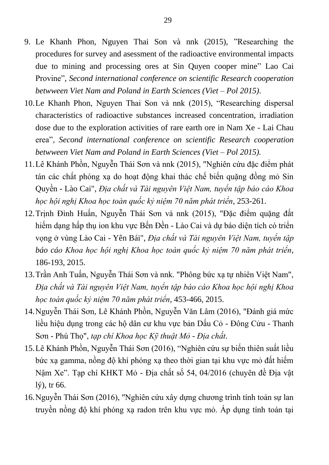- 9. Le Khanh Phon, Nguyen Thai Son và nnk (2015), "Researching the procedures for survey and asessment of the radioactive environmental impacts due to mining and processing ores at Sin Quyen cooper mine" Lao Cai Provine", *Second international conference on scientific Research cooperation betwween Viet Nam and Poland in Earth Sciences (Viet – Pol 2015)*.
- 10.Le Khanh Phon, Nguyen Thai Son và nnk (2015), "Researching dispersal characteristics of radioactive substances increased concentration, irradiation dose due to the exploration activities of rare earth ore in Nam Xe - Lai Chau erea", *Second international conference on scientific Research cooperation betwween Viet Nam and Poland in Earth Sciences (Viet – Pol 2015).*
- 11.Lê Khánh Phồn, Nguyễn Thái Sơn và nnk (2015), "Nghiên cứu đặc điểm phát tán các chất phóng xạ do hoạt động khai thác chế biến quặng đồng mỏ Sin Quyền - Lào Cai", *Địa chất và Tài nguyên Việt Nam, tuyển tập báo cáo Khoa học hội nghị Khoa học toàn quốc kỷ niệm 70 năm phát triển*, 253-261.
- 12.Trịnh Đình Huấn, Nguyễn Thái Sơn và nnk (2015), "Đặc điểm quặng đất hiếm dạng hấp thụ ion khu vực Bến Đền - Lào Cai và dự báo diện tích có triển vọng ở vùng Lào Cai - Yên Bái", *Địa chất và Tài nguyên Việt Nam, tuyển tập báo cáo Khoa học hội nghị Khoa học toàn quốc kỷ niệm 70 năm phát triển*, 186-193, 2015.
- 13.Trần Anh Tuấn, Nguyễn Thái Sơn và nnk. "Phông bức xạ tự nhiên Việt Nam", *Địa chất và Tài nguyên Việt Nam, tuyển tập báo cáo Khoa học hội nghị Khoa học toàn quốc kỷ niệm 70 năm phát triển*, 453-466, 2015.
- 14.Nguyễn Thái Sơn, Lê Khánh Phồn, Nguyễn Văn Lâm (2016), "Đánh giá mức liều hiệu dụng trong các hộ dân cư khu vực bản Dấu Cỏ - Đông Cửu - Thanh Sơn - Phú Thọ", *tạp chí Khoa học Kỹ thuật Mỏ - Địa chất*.
- 15.Lê Khánh Phồn, Nguyễn Thái Sơn (2016), "Nghiên cứu sự biến thiên suất liều bức xạ gamma, nồng độ khí phóng xạ theo thời gian tại khu vực mỏ đất hiếm Nậm Xe". Tạp chí KHKT Mỏ - Địa chất số 54, 04/2016 (chuyên đề Địa vật lý), tr 66.
- 16.Nguyễn Thái Sơn (2016), "Nghiên cứu xây dựng chương trình tính toán sự lan truyền nồng độ khí phóng xạ radon trên khu vực mỏ. Áp dụng tính toán tại